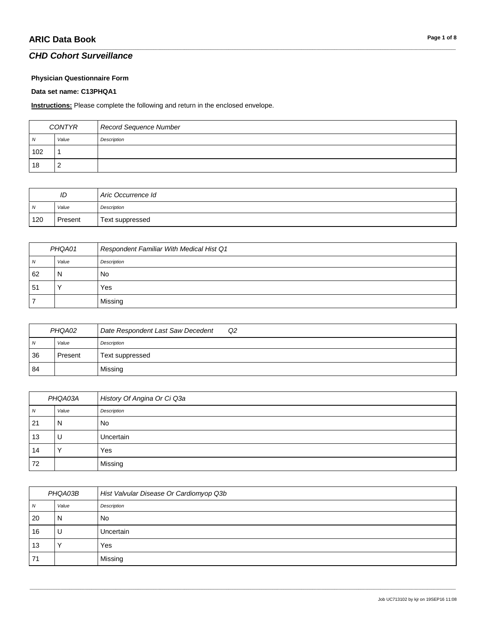### *CHD Cohort Surveillance*

#### **Physician Questionnaire Form**

#### **Data set name: C13PHQA1**

**Instructions:** Please complete the following and return in the enclosed envelope.

| CONTYR         |       | <b>Record Sequence Number</b> |
|----------------|-------|-------------------------------|
| $\overline{N}$ | Value | Description                   |
| 102            |       |                               |
| 18             |       |                               |

\_\_\_\_\_\_\_\_\_\_\_\_\_\_\_\_\_\_\_\_\_\_\_\_\_\_\_\_\_\_\_\_\_\_\_\_\_\_\_\_\_\_\_\_\_\_\_\_\_\_\_\_\_\_\_\_\_\_\_\_\_\_\_\_\_\_\_\_\_\_\_\_\_\_\_\_\_\_\_\_\_\_\_\_\_\_\_\_\_\_\_\_\_\_\_\_\_\_\_\_\_\_\_\_\_\_\_\_\_\_\_\_\_\_\_\_\_\_\_\_\_\_\_\_\_\_\_\_\_\_\_\_\_\_\_\_\_\_\_\_\_\_\_\_\_\_\_\_\_\_\_\_\_\_\_\_\_\_\_\_\_\_\_\_\_\_\_\_\_\_\_\_\_\_\_\_\_\_\_\_\_\_\_\_\_\_\_\_\_\_\_\_\_

| ID             |         | Aric Occurrence Id |
|----------------|---------|--------------------|
| $\overline{M}$ | Value   | Description        |
| 120            | Present | Text suppressed    |

| PHQA01 |       | Respondent Familiar With Medical Hist Q1 |
|--------|-------|------------------------------------------|
| ΙV     | Value | Description                              |
| 62     | N     | No                                       |
| 51     |       | Yes                                      |
|        |       | Missing                                  |

| PHQA02 |         | Date Respondent Last Saw Decedent<br>Q2 |
|--------|---------|-----------------------------------------|
| N      | Value   | Description                             |
| 36     | Present | Text suppressed                         |
| 84     |         | Missing                                 |

| PHQA03A |       | History Of Angina Or Ci Q3a |
|---------|-------|-----------------------------|
| N       | Value | Description                 |
| 21      | N     | No                          |
| 13      | U     | Uncertain                   |
| 14      |       | Yes                         |
| 72      |       | Missing                     |

| PHQA03B |       | Hist Valvular Disease Or Cardiomyop Q3b |
|---------|-------|-----------------------------------------|
| N       | Value | Description                             |
| 20      | N     | <b>No</b>                               |
| 16      |       | <b>Uncertain</b>                        |
| 13      |       | Yes                                     |
| 71      |       | Missing                                 |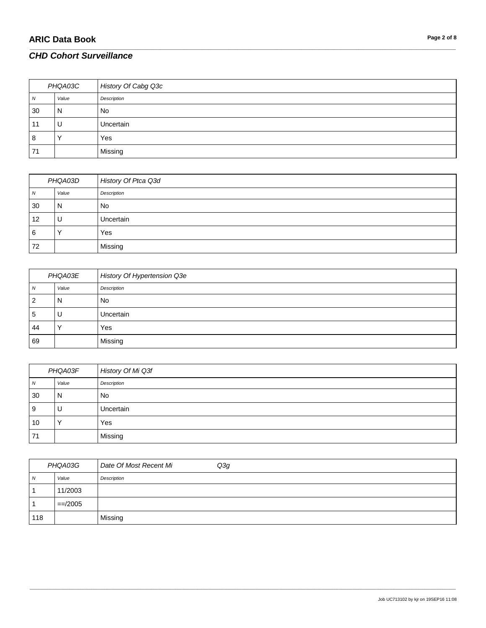#### *CHD Cohort Surveillance*

| PHQA03C    |       | History Of Cabg Q3c |
|------------|-------|---------------------|
| $\sqrt{N}$ | Value | Description         |
| 30         | N     | No                  |
| -11        | U     | <b>Uncertain</b>    |
| 8          |       | Yes                 |
| 71         |       | Missing             |

\_\_\_\_\_\_\_\_\_\_\_\_\_\_\_\_\_\_\_\_\_\_\_\_\_\_\_\_\_\_\_\_\_\_\_\_\_\_\_\_\_\_\_\_\_\_\_\_\_\_\_\_\_\_\_\_\_\_\_\_\_\_\_\_\_\_\_\_\_\_\_\_\_\_\_\_\_\_\_\_\_\_\_\_\_\_\_\_\_\_\_\_\_\_\_\_\_\_\_\_\_\_\_\_\_\_\_\_\_\_\_\_\_\_\_\_\_\_\_\_\_\_\_\_\_\_\_\_\_\_\_\_\_\_\_\_\_\_\_\_\_\_\_\_\_\_\_\_\_\_\_\_\_\_\_\_\_\_\_\_\_\_\_\_\_\_\_\_\_\_\_\_\_\_\_\_\_\_\_\_\_\_\_\_\_\_\_\_\_\_\_\_\_

| PHQA03D |       | History Of Ptca Q3d |
|---------|-------|---------------------|
| N       | Value | Description         |
| 30      | N     | <b>No</b>           |
| 12      |       | <b>Uncertain</b>    |
| 6       |       | Yes                 |
| 72      |       | Missing             |

| PHQA03E        |                | History Of Hypertension Q3e |
|----------------|----------------|-----------------------------|
| N              | Value          | Description                 |
| $\overline{2}$ | $\overline{N}$ | <b>No</b>                   |
| 5              | U              | <b>Uncertain</b>            |
| 44             |                | Yes                         |
| 69             |                | Missing                     |

| PHQA03F        |       | History Of Mi Q3f |
|----------------|-------|-------------------|
| $\overline{N}$ | Value | Description       |
| 30             | N     | <b>No</b>         |
| 9              | U     | Uncertain         |
| 10             |       | Yes               |
| 71             |       | Missing           |

| PHQA03G |               | Date Of Most Recent Mi<br>Q3g |  |
|---------|---------------|-------------------------------|--|
| N       | Value         | Description                   |  |
|         | 11/2003       |                               |  |
|         | $=$ $-$ /2005 |                               |  |
| 118     |               | Missing                       |  |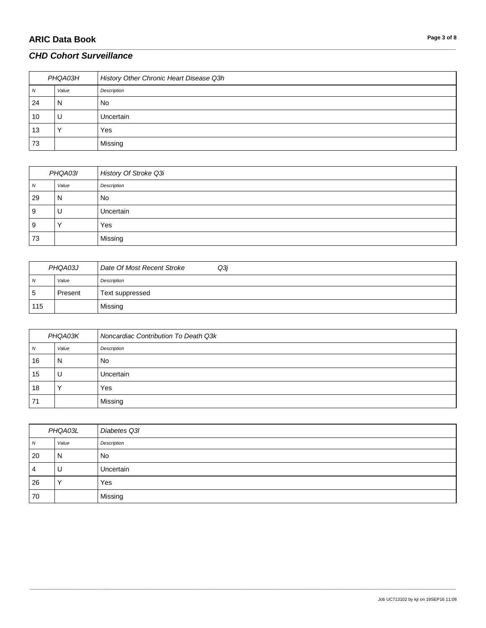# **ARIC Data Book Page 3 of 8**

## *CHD Cohort Surveillance*

| PHQA03H |       | History Other Chronic Heart Disease Q3h |
|---------|-------|-----------------------------------------|
| 1V      | Value | Description                             |
| 24      | N     | No                                      |
| 10      | U     | Uncertain                               |
| 13      |       | Yes                                     |
| 73      |       | Missing                                 |

\_\_\_\_\_\_\_\_\_\_\_\_\_\_\_\_\_\_\_\_\_\_\_\_\_\_\_\_\_\_\_\_\_\_\_\_\_\_\_\_\_\_\_\_\_\_\_\_\_\_\_\_\_\_\_\_\_\_\_\_\_\_\_\_\_\_\_\_\_\_\_\_\_\_\_\_\_\_\_\_\_\_\_\_\_\_\_\_\_\_\_\_\_\_\_\_\_\_\_\_\_\_\_\_\_\_\_\_\_\_\_\_\_\_\_\_\_\_\_\_\_\_\_\_\_\_\_\_\_\_\_\_\_\_\_\_\_\_\_\_\_\_\_\_\_\_\_\_\_\_\_\_\_\_\_\_\_\_\_\_\_\_\_\_\_\_\_\_\_\_\_\_\_\_\_\_\_\_\_\_\_\_\_\_\_\_\_\_\_\_\_\_\_

| PHQA03I |       | History Of Stroke Q3i |
|---------|-------|-----------------------|
| 1V      | Value | Description           |
| 29      | N     | No                    |
| У       | U     | Uncertain             |
| У       |       | Yes                   |
| 73      |       | Missing               |

| PHQA03J |         | Date Of Most Recent Stroke<br>Q3j |
|---------|---------|-----------------------------------|
| N       | Value   | Description                       |
| -5      | Present | Text suppressed                   |
| 115     |         | Missing                           |

| PHQA03K |       | Noncardiac Contribution To Death Q3k |
|---------|-------|--------------------------------------|
| N       | Value | Description                          |
| 16      | N     | <b>No</b>                            |
| 15      |       | <b>Uncertain</b>                     |
| 18      |       | Yes                                  |
| 71      |       | Missing                              |

| PHQA03L        |              | Diabetes Q3I |
|----------------|--------------|--------------|
| $\overline{N}$ | Value        | Description  |
| 20             | $\mathsf{N}$ | <b>No</b>    |
| $\overline{4}$ | U            | Uncertain    |
| 26             |              | Yes          |
| 70             |              | Missing      |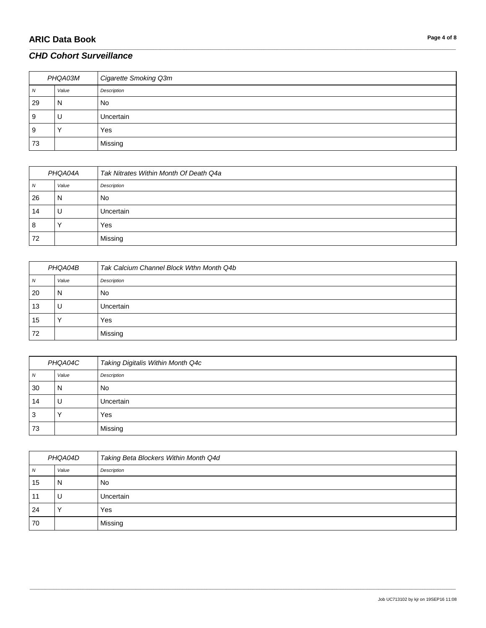## *CHD Cohort Surveillance*

| PHQA03M |              | <b>Cigarette Smoking Q3m</b> |
|---------|--------------|------------------------------|
| IV.     | Value        | Description                  |
| 29      | N            | No                           |
| 9       | U            | Uncertain                    |
| У       | $\checkmark$ | Yes                          |
| 73      |              | Missing                      |

\_\_\_\_\_\_\_\_\_\_\_\_\_\_\_\_\_\_\_\_\_\_\_\_\_\_\_\_\_\_\_\_\_\_\_\_\_\_\_\_\_\_\_\_\_\_\_\_\_\_\_\_\_\_\_\_\_\_\_\_\_\_\_\_\_\_\_\_\_\_\_\_\_\_\_\_\_\_\_\_\_\_\_\_\_\_\_\_\_\_\_\_\_\_\_\_\_\_\_\_\_\_\_\_\_\_\_\_\_\_\_\_\_\_\_\_\_\_\_\_\_\_\_\_\_\_\_\_\_\_\_\_\_\_\_\_\_\_\_\_\_\_\_\_\_\_\_\_\_\_\_\_\_\_\_\_\_\_\_\_\_\_\_\_\_\_\_\_\_\_\_\_\_\_\_\_\_\_\_\_\_\_\_\_\_\_\_\_\_\_\_\_\_

| PHQA04A |       | Tak Nitrates Within Month Of Death Q4a |
|---------|-------|----------------------------------------|
| IV.     | Value | Description                            |
| 26      | N     | No                                     |
| 14      |       | Uncertain                              |
| 8       |       | Yes                                    |
| 72      |       | Missing                                |

| PHQA04B |       | Tak Calcium Channel Block Wthn Month Q4b |
|---------|-------|------------------------------------------|
| ΙV      | Value | Description                              |
| 20      | N     | No                                       |
| 13      | U     | Uncertain                                |
| 15      |       | Yes                                      |
| 72      |       | Missing                                  |

| PHQA04C |       | Taking Digitalis Within Month Q4c |
|---------|-------|-----------------------------------|
| Ν       | Value | Description                       |
| 30      | N     | No.                               |
| 14      |       | <b>Uncertain</b>                  |
| 3       |       | Yes                               |
| 73      |       | Missing                           |

| PHQA04D |       | Taking Beta Blockers Within Month Q4d |
|---------|-------|---------------------------------------|
| N       | Value | Description                           |
| 15      | N     | <b>No</b>                             |
| -11     | U     | <b>Uncertain</b>                      |
| 24      |       | Yes                                   |
| 70      |       | Missing                               |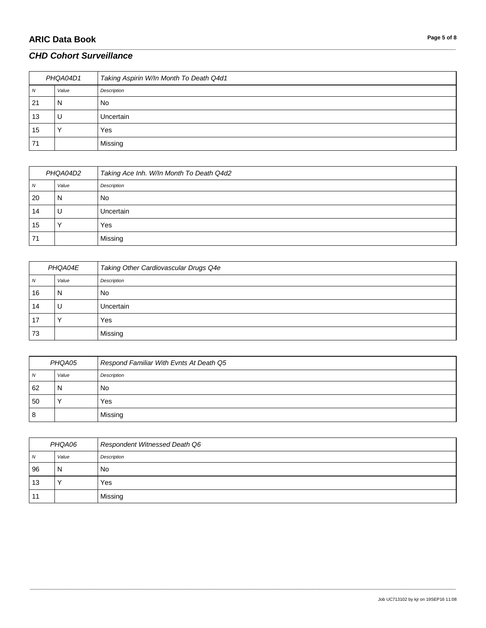# **ARIC Data Book Page 5 of 8**

### *CHD Cohort Surveillance*

| PHQA04D1 |       | Taking Aspirin W/In Month To Death Q4d1 |
|----------|-------|-----------------------------------------|
| IV.      | Value | Description                             |
| 21       | N     | No                                      |
| 13       | U     | Uncertain                               |
| 15       |       | Yes                                     |
| 71       |       | Missing                                 |

\_\_\_\_\_\_\_\_\_\_\_\_\_\_\_\_\_\_\_\_\_\_\_\_\_\_\_\_\_\_\_\_\_\_\_\_\_\_\_\_\_\_\_\_\_\_\_\_\_\_\_\_\_\_\_\_\_\_\_\_\_\_\_\_\_\_\_\_\_\_\_\_\_\_\_\_\_\_\_\_\_\_\_\_\_\_\_\_\_\_\_\_\_\_\_\_\_\_\_\_\_\_\_\_\_\_\_\_\_\_\_\_\_\_\_\_\_\_\_\_\_\_\_\_\_\_\_\_\_\_\_\_\_\_\_\_\_\_\_\_\_\_\_\_\_\_\_\_\_\_\_\_\_\_\_\_\_\_\_\_\_\_\_\_\_\_\_\_\_\_\_\_\_\_\_\_\_\_\_\_\_\_\_\_\_\_\_\_\_\_\_\_\_

| PHQA04D2 |       | Taking Ace Inh. W/In Month To Death Q4d2 |
|----------|-------|------------------------------------------|
| ΙV       | Value | Description                              |
| 20       | N     | No                                       |
| 14       |       | Uncertain                                |
| 15       |       | Yes                                      |
| 71       |       | Missing                                  |

| PHQA04E      |       | Taking Other Cardiovascular Drugs Q4e |
|--------------|-------|---------------------------------------|
| $\mathbf{v}$ | Value | Description                           |
| 16           | N     | No                                    |
| 14           | U     | Uncertain                             |
| 17           |       | Yes                                   |
| 73           |       | Missing                               |

| PHQA05 |       | Respond Familiar With Evnts At Death Q5 |
|--------|-------|-----------------------------------------|
| N      | Value | Description                             |
| 62     | N     | No.                                     |
| 50     |       | Yes                                     |
| 8      |       | Missing                                 |

| PHQA06         |       | Respondent Witnessed Death Q6 |
|----------------|-------|-------------------------------|
| $\overline{N}$ | Value | Description                   |
| 96             | N     | No                            |
| 13             |       | Yes                           |
| 11             |       | Missing                       |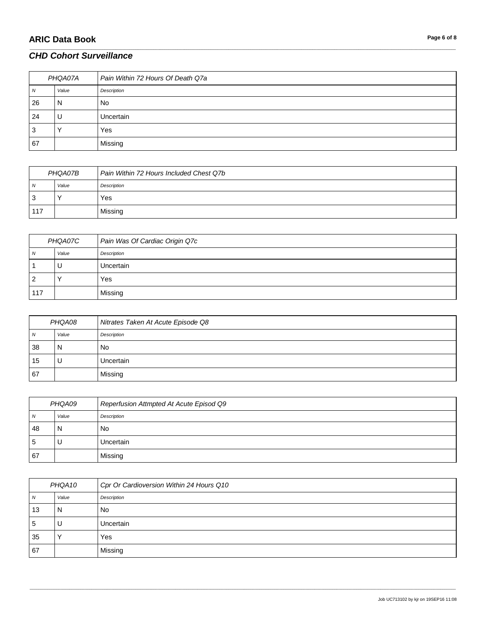# **ARIC Data Book Page 6 of 8**

### *CHD Cohort Surveillance*

| PHQA07A |       | Pain Within 72 Hours Of Death Q7a |
|---------|-------|-----------------------------------|
| N       | Value | Description                       |
| 26      | N     | <b>No</b>                         |
| 24      | U     | <b>Uncertain</b>                  |
| 3       |       | Yes                               |
| 67      |       | Missing                           |

\_\_\_\_\_\_\_\_\_\_\_\_\_\_\_\_\_\_\_\_\_\_\_\_\_\_\_\_\_\_\_\_\_\_\_\_\_\_\_\_\_\_\_\_\_\_\_\_\_\_\_\_\_\_\_\_\_\_\_\_\_\_\_\_\_\_\_\_\_\_\_\_\_\_\_\_\_\_\_\_\_\_\_\_\_\_\_\_\_\_\_\_\_\_\_\_\_\_\_\_\_\_\_\_\_\_\_\_\_\_\_\_\_\_\_\_\_\_\_\_\_\_\_\_\_\_\_\_\_\_\_\_\_\_\_\_\_\_\_\_\_\_\_\_\_\_\_\_\_\_\_\_\_\_\_\_\_\_\_\_\_\_\_\_\_\_\_\_\_\_\_\_\_\_\_\_\_\_\_\_\_\_\_\_\_\_\_\_\_\_\_\_\_

| PHQA07B        |       | Pain Within 72 Hours Included Chest Q7b |
|----------------|-------|-----------------------------------------|
| $\overline{N}$ | Value | Description                             |
| 3              |       | Yes                                     |
| 117            |       | Missing                                 |

| PHQA07C |       | Pain Was Of Cardiac Origin Q7c |
|---------|-------|--------------------------------|
| N       | Value | Description                    |
|         | υ     | Uncertain                      |
| 2       |       | Yes                            |
| 117     |       | Missing                        |

| PHQA08         |       | Nitrates Taken At Acute Episode Q8 |
|----------------|-------|------------------------------------|
| $\overline{N}$ | Value | Description                        |
| 38             | N     | No                                 |
| 15             | U     | Uncertain                          |
| 67             |       | Missing                            |

| PHQA09 |       | Reperfusion Attmpted At Acute Episod Q9 |
|--------|-------|-----------------------------------------|
| N      | Value | Description                             |
| 48     | N     | No.                                     |
| .5     |       | Uncertain                               |
| 67     |       | Missing                                 |

| PHQA10 |           | Cpr Or Cardioversion Within 24 Hours Q10 |
|--------|-----------|------------------------------------------|
| N      | Value     | Description                              |
| 13     | N         | No                                       |
| 5      | U         | Uncertain                                |
| 35     | $\lambda$ | Yes                                      |
| 67     |           | Missing                                  |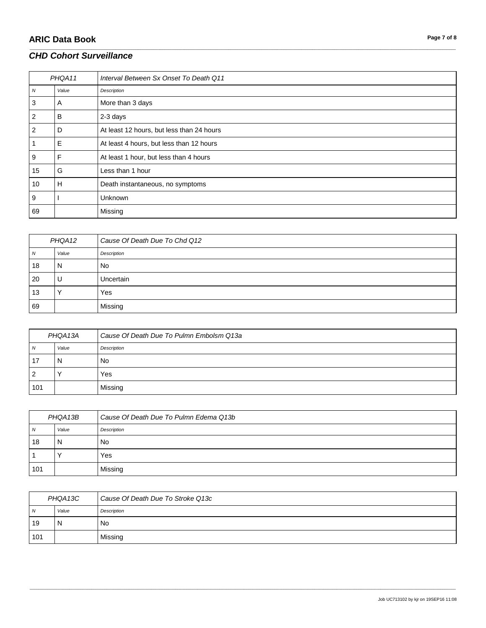# **ARIC Data Book Page 7 of 8**

| PHQA11         |       | Interval Between Sx Onset To Death Q11    |
|----------------|-------|-------------------------------------------|
| N              | Value | Description                               |
| 3              | A     | More than 3 days                          |
| 2              | B     | 2-3 days                                  |
| $\overline{2}$ | D     | At least 12 hours, but less than 24 hours |
|                | Е     | At least 4 hours, but less than 12 hours  |
| 9              | F     | At least 1 hour, but less than 4 hours    |
| 15             | G     | Less than 1 hour                          |
| 10             | Н     | Death instantaneous, no symptoms          |
| 9              |       | <b>Unknown</b>                            |
| 69             |       | Missing                                   |

\_\_\_\_\_\_\_\_\_\_\_\_\_\_\_\_\_\_\_\_\_\_\_\_\_\_\_\_\_\_\_\_\_\_\_\_\_\_\_\_\_\_\_\_\_\_\_\_\_\_\_\_\_\_\_\_\_\_\_\_\_\_\_\_\_\_\_\_\_\_\_\_\_\_\_\_\_\_\_\_\_\_\_\_\_\_\_\_\_\_\_\_\_\_\_\_\_\_\_\_\_\_\_\_\_\_\_\_\_\_\_\_\_\_\_\_\_\_\_\_\_\_\_\_\_\_\_\_\_\_\_\_\_\_\_\_\_\_\_\_\_\_\_\_\_\_\_\_\_\_\_\_\_\_\_\_\_\_\_\_\_\_\_\_\_\_\_\_\_\_\_\_\_\_\_\_\_\_\_\_\_\_\_\_\_\_\_\_\_\_\_\_\_

| PHQA12 |       | Cause Of Death Due To Chd Q12 |
|--------|-------|-------------------------------|
| Ν      | Value | Description                   |
| 18     | N     | No                            |
| 20     | U     | Uncertain                     |
| 13     |       | Yes                           |
| 69     |       | Missing                       |

| PHQA13A |       | Cause Of Death Due To Pulmn Embolsm Q13a |
|---------|-------|------------------------------------------|
| N       | Value | Description                              |
| $-17$   | N     | No.                                      |
| -2      |       | Yes                                      |
| 101     |       | Missing                                  |

| PHQA13B |       | Cause Of Death Due To Pulmn Edema Q13b |
|---------|-------|----------------------------------------|
| N       | Value | Description                            |
| 18      | N     | No.                                    |
|         |       | Yes                                    |
| 101     |       | Missing                                |

| PHQA13C      |       | Cause Of Death Due To Stroke Q13c |
|--------------|-------|-----------------------------------|
| $\mathcal N$ | Value | Description                       |
| 19           | N     | No.                               |
| 101          |       | Missing                           |